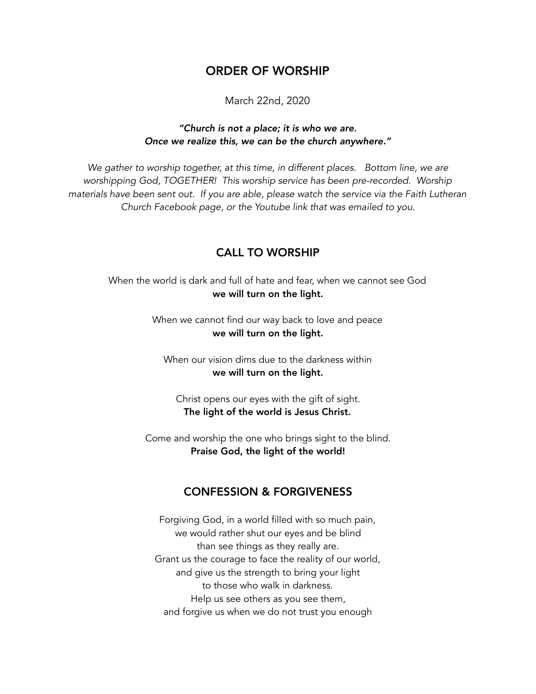## ORDER OF WORSHIP

March 22nd, 2020

#### *"Church is not a place; it is who we are. Once we realize this, we can be the church anywhere."*

*We gather to worship together, at this time, in different places. Bottom line, we are worshipping God, TOGETHER! This worship service has been pre-recorded. Worship materials have been sent out. If you are able, please watch the service via the Faith Lutheran Church Facebook page, or the Youtube link that was emailed to you.* 

### CALL TO WORSHIP

When the world is dark and full of hate and fear, when we cannot see God we will turn on the light.

> When we cannot find our way back to love and peace we will turn on the light.

When our vision dims due to the darkness within we will turn on the light.

Christ opens our eyes with the gift of sight. The light of the world is Jesus Christ.

Come and worship the one who brings sight to the blind. Praise God, the light of the world!

### CONFESSION & FORGIVENESS

Forgiving God, in a world filled with so much pain, we would rather shut our eyes and be blind than see things as they really are. Grant us the courage to face the reality of our world, and give us the strength to bring your light to those who walk in darkness. Help us see others as you see them, and forgive us when we do not trust you enough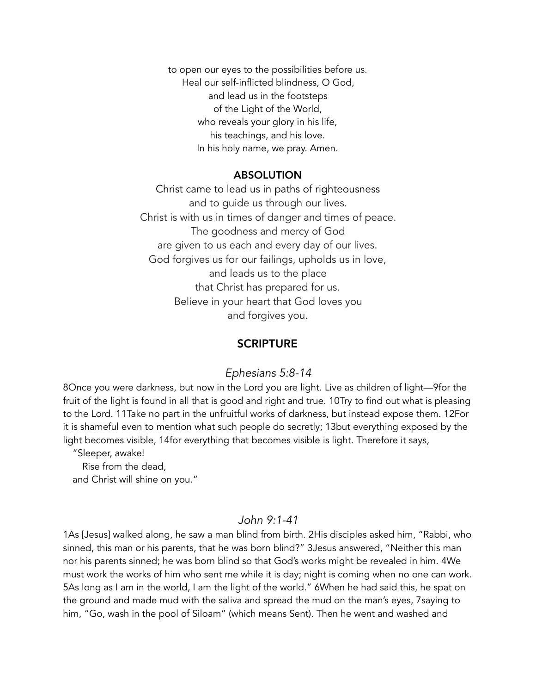to open our eyes to the possibilities before us. Heal our self-inflicted blindness, O God, and lead us in the footsteps of the Light of the World, who reveals your glory in his life, his teachings, and his love. In his holy name, we pray. Amen.

#### ABSOLUTION

Christ came to lead us in paths of righteousness and to guide us through our lives. Christ is with us in times of danger and times of peace. The goodness and mercy of God are given to us each and every day of our lives. God forgives us for our failings, upholds us in love, and leads us to the place that Christ has prepared for us. Believe in your heart that God loves you and forgives you.

#### **SCRIPTURE**

#### *Ephesians 5:8-14*

8Once you were darkness, but now in the Lord you are light. Live as children of light—9for the fruit of the light is found in all that is good and right and true. 10Try to find out what is pleasing to the Lord. 11Take no part in the unfruitful works of darkness, but instead expose them. 12For it is shameful even to mention what such people do secretly; 13but everything exposed by the light becomes visible, 14for everything that becomes visible is light. Therefore it says,

"Sleeper, awake!

 Rise from the dead, and Christ will shine on you."

#### *John 9:1-41*

1As [Jesus] walked along, he saw a man blind from birth. 2His disciples asked him, "Rabbi, who sinned, this man or his parents, that he was born blind?" 3Jesus answered, "Neither this man nor his parents sinned; he was born blind so that God's works might be revealed in him. 4We must work the works of him who sent me while it is day; night is coming when no one can work. 5As long as I am in the world, I am the light of the world." 6When he had said this, he spat on the ground and made mud with the saliva and spread the mud on the man's eyes, 7saying to him, "Go, wash in the pool of Siloam" (which means Sent). Then he went and washed and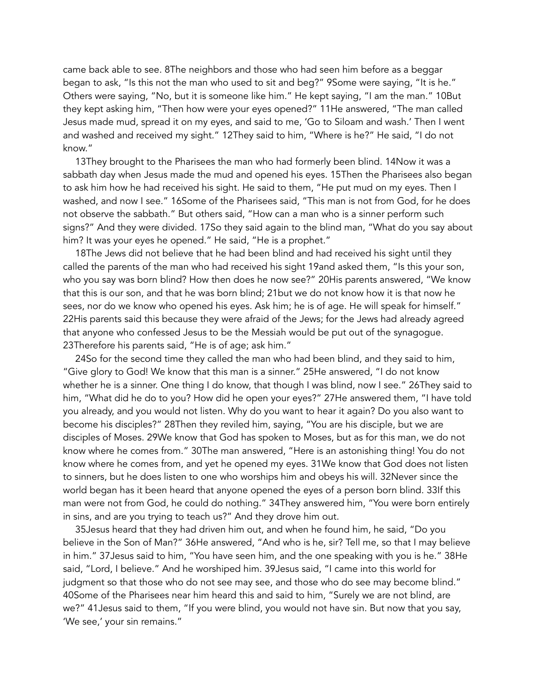came back able to see. 8The neighbors and those who had seen him before as a beggar began to ask, "Is this not the man who used to sit and beg?" 9Some were saying, "It is he." Others were saying, "No, but it is someone like him." He kept saying, "I am the man." 10But they kept asking him, "Then how were your eyes opened?" 11He answered, "The man called Jesus made mud, spread it on my eyes, and said to me, 'Go to Siloam and wash.' Then I went and washed and received my sight." 12They said to him, "Where is he?" He said, "I do not know."

 13They brought to the Pharisees the man who had formerly been blind. 14Now it was a sabbath day when Jesus made the mud and opened his eyes. 15Then the Pharisees also began to ask him how he had received his sight. He said to them, "He put mud on my eyes. Then I washed, and now I see." 16Some of the Pharisees said, "This man is not from God, for he does not observe the sabbath." But others said, "How can a man who is a sinner perform such signs?" And they were divided. 17So they said again to the blind man, "What do you say about him? It was your eyes he opened." He said, "He is a prophet."

 18The Jews did not believe that he had been blind and had received his sight until they called the parents of the man who had received his sight 19and asked them, "Is this your son, who you say was born blind? How then does he now see?" 20His parents answered, "We know that this is our son, and that he was born blind; 21but we do not know how it is that now he sees, nor do we know who opened his eyes. Ask him; he is of age. He will speak for himself." 22His parents said this because they were afraid of the Jews; for the Jews had already agreed that anyone who confessed Jesus to be the Messiah would be put out of the synagogue. 23Therefore his parents said, "He is of age; ask him."

 24So for the second time they called the man who had been blind, and they said to him, "Give glory to God! We know that this man is a sinner." 25He answered, "I do not know whether he is a sinner. One thing I do know, that though I was blind, now I see." 26They said to him, "What did he do to you? How did he open your eyes?" 27He answered them, "I have told you already, and you would not listen. Why do you want to hear it again? Do you also want to become his disciples?" 28Then they reviled him, saying, "You are his disciple, but we are disciples of Moses. 29We know that God has spoken to Moses, but as for this man, we do not know where he comes from." 30The man answered, "Here is an astonishing thing! You do not know where he comes from, and yet he opened my eyes. 31We know that God does not listen to sinners, but he does listen to one who worships him and obeys his will. 32Never since the world began has it been heard that anyone opened the eyes of a person born blind. 33If this man were not from God, he could do nothing." 34They answered him, "You were born entirely in sins, and are you trying to teach us?" And they drove him out.

 35Jesus heard that they had driven him out, and when he found him, he said, "Do you believe in the Son of Man?" 36He answered, "And who is he, sir? Tell me, so that I may believe in him." 37Jesus said to him, "You have seen him, and the one speaking with you is he." 38He said, "Lord, I believe." And he worshiped him. 39Jesus said, "I came into this world for judgment so that those who do not see may see, and those who do see may become blind." 40Some of the Pharisees near him heard this and said to him, "Surely we are not blind, are we?" 41Jesus said to them, "If you were blind, you would not have sin. But now that you say, 'We see,' your sin remains."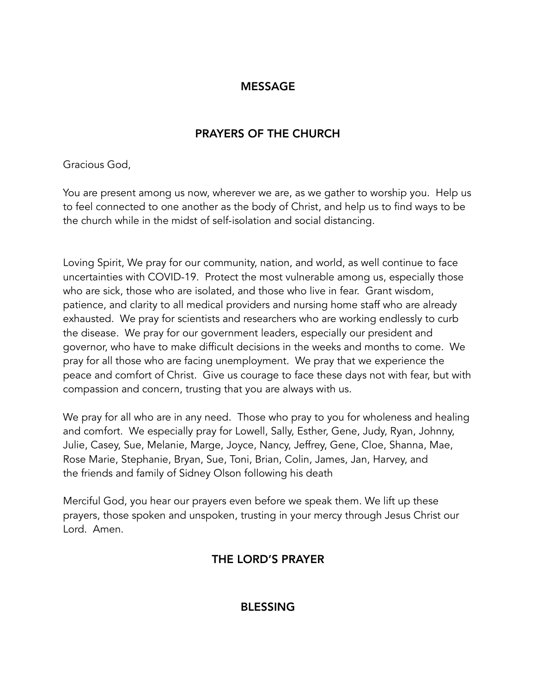# **MESSAGE**

# PRAYERS OF THE CHURCH

## Gracious God,

You are present among us now, wherever we are, as we gather to worship you. Help us to feel connected to one another as the body of Christ, and help us to find ways to be the church while in the midst of self-isolation and social distancing.

Loving Spirit, We pray for our community, nation, and world, as well continue to face uncertainties with COVID-19. Protect the most vulnerable among us, especially those who are sick, those who are isolated, and those who live in fear. Grant wisdom, patience, and clarity to all medical providers and nursing home staff who are already exhausted. We pray for scientists and researchers who are working endlessly to curb the disease. We pray for our government leaders, especially our president and governor, who have to make difficult decisions in the weeks and months to come. We pray for all those who are facing unemployment. We pray that we experience the peace and comfort of Christ. Give us courage to face these days not with fear, but with compassion and concern, trusting that you are always with us.

We pray for all who are in any need. Those who pray to you for wholeness and healing and comfort. We especially pray for Lowell, Sally, Esther, Gene, Judy, Ryan, Johnny, Julie, Casey, Sue, Melanie, Marge, Joyce, Nancy, Jeffrey, Gene, Cloe, Shanna, Mae, Rose Marie, Stephanie, Bryan, Sue, Toni, Brian, Colin, James, Jan, Harvey, and the friends and family of Sidney Olson following his death

Merciful God, you hear our prayers even before we speak them. We lift up these prayers, those spoken and unspoken, trusting in your mercy through Jesus Christ our Lord. Amen.

# THE LORD'S PRAYER

BLESSING